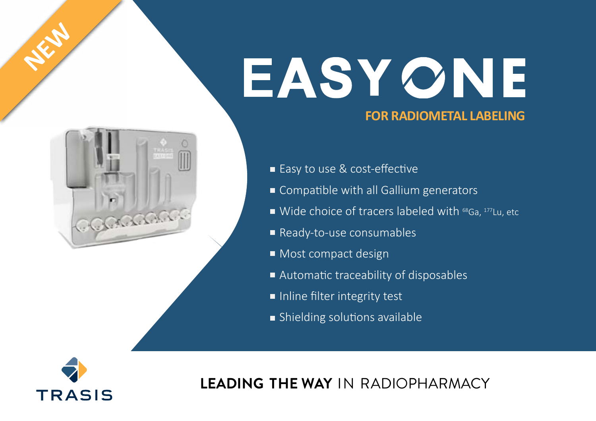# EASYONE  **FOR RADIOMETAL LABELING**



■ Easy to use & cost-effective

- Compatible with all Gallium generators
- Wide choice of tracers labeled with  $^{68}$ Ga,  $^{177}$ Lu, etc
- Ready-to-use consumables
- Most compact design
- Automatic traceability of disposables
- Inline filter integrity test
- Shielding solutions available



**NEW**

**LEADING THE WAY** IN RADIOPHARMACY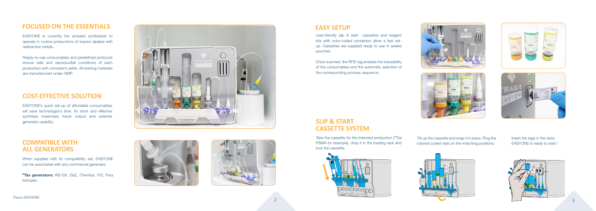

# **FOCUSED ON THE ESSENTIALS**

EASYONE is currently the simplest synthesizer to operate in routine productions of tracers labeled with radioactive metals.

Ready-to-use consumables and predefined protocols ensure safe and reproducible conditions of each production with consistent yields. All starting materials are manufactured under GMP.

# **COST-EFFECTIVE SOLUTION**

<sup>68</sup>Ga generators: IRE-Elit, E&Z, iThemba, ITG, Pars Isotopes.





EASYONE's quick set-up of affordable consumables will save technologist's time. Its short and effective synthesis maximizes tracer output and extends generator usability.



#### **COMPATIBLE WITH ALL GENERATORS**

Take the cassette for the intended production (<sup>68</sup>Ga PSMA for example), drop it in the loading rack and lock the cassette.



When supplied with its compatibility set, EASYONE can be associated with any commercial generator.

# **SLIP & START CASSETTE SYSTEM**

## **EASY SETUP**

User-friendly slip & start cassettes and reagent kits with color-coded containers allow a fast setup. Cassettes are supplied ready to use in sealed pouches.

Once scanned, the RFID tag enables the traceability of the consumables and the automatic selection of the corresponding process sequence.









Tilt up the cassette and snap it in place. Plug the colored coded vials on the matching positions.

Insert the tags in the slots. EASYONE is ready to start !

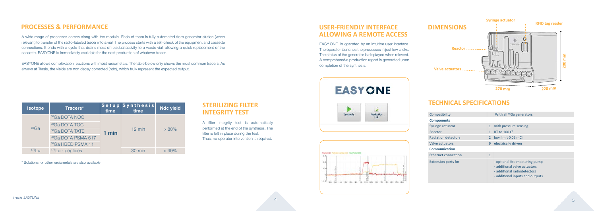

# **PROCESSES & PERFORMANCE**

A wide range of processes comes along with the module. Each of them is fully automated from generator elution (when relevant) to transfer of the radio-labeled tracer into a vial. The process starts with a self-check of the equipment and cassette connections. It ends with a cycle that drains most of residual activity to a waste vial, allowing a quick replacement of the cassette. EASYONE is immediately available for the next production of whatever tracer.

EASYONE allows complexation reactions with most radiometals. The table below only shows the most common tracers. As always at Trasis, the yields are non decay corrected (ndc), which truly represent the expected output.

| <b>Isotope</b> | Tracers*                      | time  | Setup Synthesis<br>time | <b>Ndc yield</b> |
|----------------|-------------------------------|-------|-------------------------|------------------|
| $68$ Ga        | <sup>68</sup> Ga DOTA NOC     | 1 min | $12 \text{ min}$        | $> 80\%$         |
|                | <sup>68</sup> Ga DOTA TOC     |       |                         |                  |
|                | <sup>68</sup> Ga DOTA TATE    |       |                         |                  |
|                | 68Ga DOTA PSMA 617            |       |                         |                  |
|                | <sup>68</sup> Ga HBED PSMA 11 |       |                         |                  |
| 177            | $177$ Lu - peptides           |       | 30 min                  | $>99\%$          |

\* Solutions for other radiometals are also available

#### **STERILIZING FILTER INTEGRITY TEST**

A filter integrity test is automatically performed at the end of the synthesis. The filter is left in place during the test. Thus, no operator intervention is required.

# **USER-FRIENDLY INTERFACE ALLOWING A REMOTE ACCESS**

EASY ONE is operated by an intuitive user interface. The operator launches the processes in just few clicks. The status of the generator is displayed when relevent. A comprehensive production report is generated upon completion of the synthesis.

# **TECHNICAL SPECIFICATIONS**

| Compatibility              |              | With all <sup>68</sup> Ga generators                                                                                             |  |  |
|----------------------------|--------------|----------------------------------------------------------------------------------------------------------------------------------|--|--|
| <b>Components</b>          |              |                                                                                                                                  |  |  |
| Syringe actuator           | $\mathbf{1}$ | with pressure sensing                                                                                                            |  |  |
| Reactor                    |              | <b>RT to 100 C°</b>                                                                                                              |  |  |
| <b>Radiation detectors</b> |              | low limit 0.05 mCi                                                                                                               |  |  |
| Valve actuators            |              | electrically driven                                                                                                              |  |  |
| <b>Communication</b>       |              |                                                                                                                                  |  |  |
| Ethernet connection        | $\mathbf{1}$ |                                                                                                                                  |  |  |
| <b>Extension ports for</b> |              | - optional fire meetering pump<br>- additional valve actuators<br>- additional radiodetectors<br>- additional inputs and outputs |  |  |